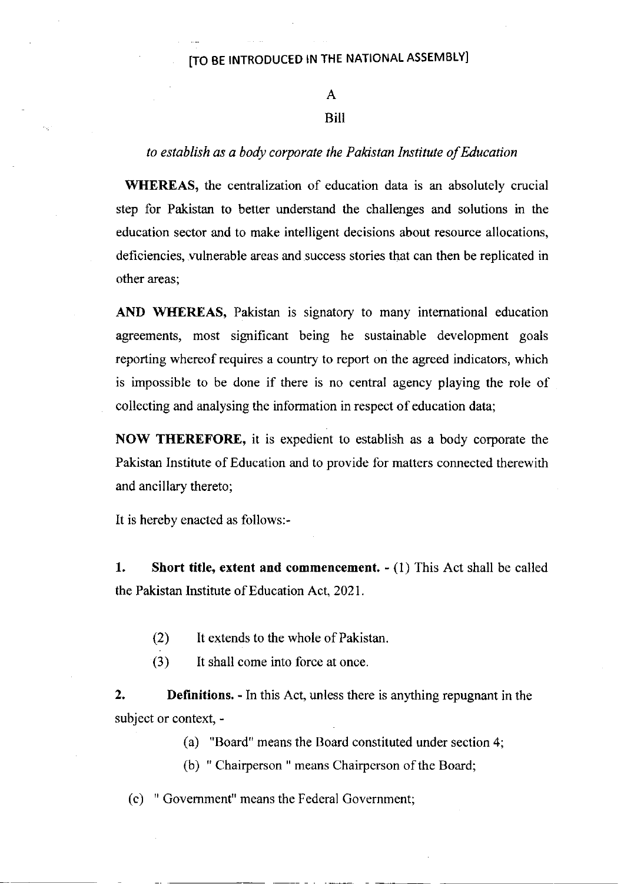### A

### Bill

#### to establish as a body corporate the Pakistan Institute of Education

WHEREAS, the centralization of education data is an absolutely crucial step for Pakistan to better understand the challenges and solutions in the education sector and to make intelligent decisions about resource allocations, deficiencies, wlnerable areas and success stories that can then be replicated in other areas;

AND WHEREAS, Pakistan is signatory to many international education agreements, most sigrificant being he sustainable development goals reporting whereof requires a country to report on the agreed indicators, which is impossible to be done if there is no central agency playing the role of collecting and analysing the information in respect of education data;

NOW THEREFORE, it is expedient to establish as a body corporate the Pakistan Institute of Education and to provide for matters connected therewith and ancillary thereto;

It is hereby enacted as follows:-

1. Short title, extent and commencement.  $- (1)$  This Act shall be called the Pakistan Institute of Education Act,202l.

- $(2)$ It extends to the whole of Pakistan
- (3) It shall come into force at once.

2. Definitions. - In this Act, unless there is anything repugnant in the subject or context, -

(a) "Board" means the Board constituted under section 4;

(b) " Chairperson " means Chairperson of the Board;

(c) " Govemment" means the Federal Government;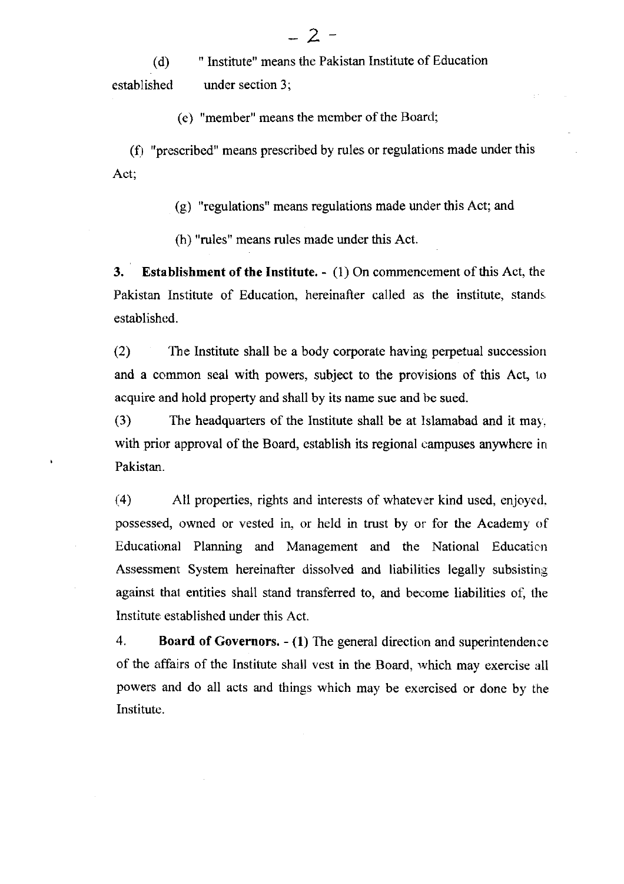(d) established " Institute" means the Pakistan Institute of Education under section 3;

(e) "member" means the member of the Boarcl;

 $(f)$  "prescribed" means prescribed by rules or regulations made under this Act;

(g) "regulations" means regulations made under this Act; and

(h) "rules" means rules made under this Act.

3. Establishment of the Institute.  $- (1)$  On commencement of this Act, the Pakistan Institute of Education, hereinafter called as the institute, stands establishcd.

(2) The Institute shall be a body corporate having perpetual succession and a common seal with powers, subject to the provisions of this Act, to acquire and hold property and shall by its name sue and be sued.

(3) The headquarters of the Institute shall be at Islamabad and it may. with prior approval of the Board, establish its regional campuses anywhere in Pakistan.

(4) All properties, rights and interests of whatever kind used, enjoyed, possessed, owned or vested in. or held in trust by or for the Academy of Educational Planning and Management and the National Education Assessment System hereinafter dissolved and liabilities legally subsisting against thal entities shall stand transferred to, and become liabilities of, the Institute established under this Act.

4. Board of Governors. - (1) The general direction and superintendence of the affairs of the Institute shall vest in the Board, rvhich may exercise all powers and do all acts and things which may be exercised or done by the Institute.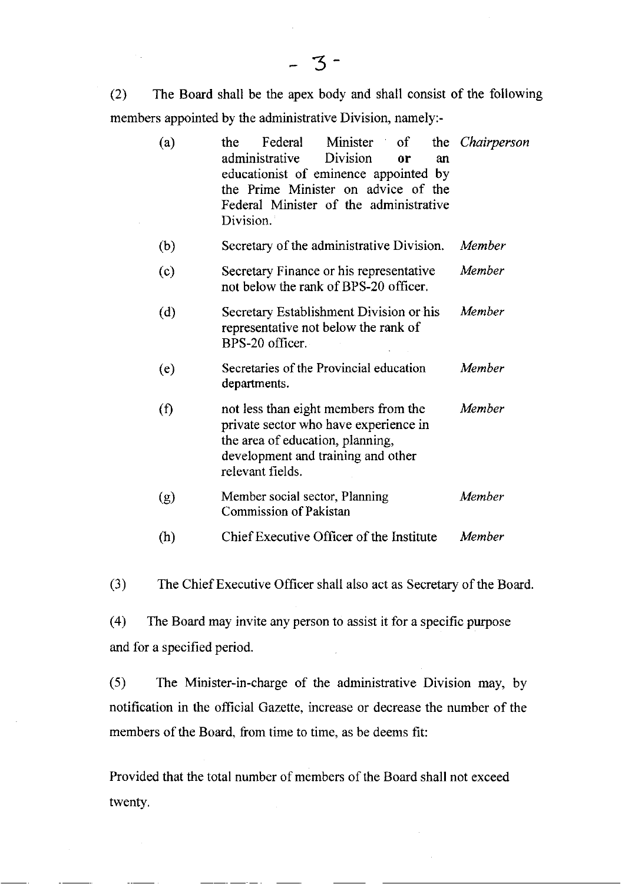(2) The Board shall be the apex body and shall consist of the following members appointed by the administrative Division, namely:-

| (a) | Federal<br>Minister<br>$\sigma$<br>the<br><b>Division</b><br>administrative<br>0r<br>an<br>educationist of eminence appointed by<br>the Prime Minister on advice of the<br>Federal Minister of the administrative<br>Division. | the <i>Chairperson</i> |
|-----|--------------------------------------------------------------------------------------------------------------------------------------------------------------------------------------------------------------------------------|------------------------|
| (b) | Secretary of the administrative Division.                                                                                                                                                                                      | Member                 |
| (c) | Secretary Finance or his representative<br>not below the rank of BPS-20 officer.                                                                                                                                               | Member                 |
| (d) | Secretary Establishment Division or his<br>representative not below the rank of<br>BPS-20 officer.                                                                                                                             | Member                 |
| (e) | Secretaries of the Provincial education<br>departments.                                                                                                                                                                        | Member                 |
| (f) | not less than eight members from the<br>private sector who have experience in<br>the area of education, planning,<br>development and training and other<br>relevant fields.                                                    | Member                 |
| (g) | Member social sector, Planning<br><b>Commission of Pakistan</b>                                                                                                                                                                | Member                 |
| (h) | Chief Executive Officer of the Institute                                                                                                                                                                                       | Member                 |

(3) The Chief Executive Officer shall also act as Secretary of the Board.

(4) The Board may invite any person to assist it for a specific purpose and for a specified period.

(5) The Minister-in-charge of the administrative Division may, by notification in the official Gazette, increase or decrease the number of the members of the Board. from time to time, as be deems fit:

Provided that the total number of members of the Board shall not exceed twenty.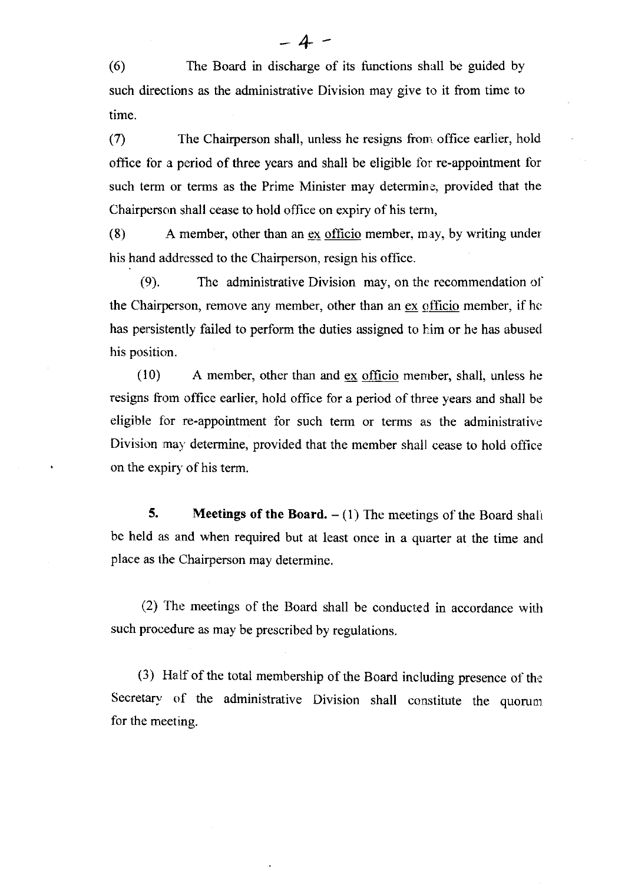(6) The Board in discharge of its functions shall be guided by such directions as the administrative Division may give to it from time to time.

 $(7)$  The Chairperson shall, unless he resigns from office earlier, hold office for a period of three years and shall be eligible for re-appointment for such term or terms as the Prime Minister may determine, provided that the Chairperson shall cease to hold office on expiry of his temr,

(8) <sup>A</sup>member, other than an ex officio member, may, by writing under his hand addressed to the Chairperson, resign his office.

(9). The administrative Division may, on the recommendation ol' the Chairperson, remove any member, other than an ex officio member, if he has persistently failed to perform the duties assigned to him or he has abused his position.

(10) A member, other than and ex officio menrber, shall, unless he resigns from office earlier, hold office for a period of three years and shall be eligible for re-appointment for such term or terms as the administrative Division may determine, provided that the member shall cease to hold office on the expiry of his term.

5. Meetings of the Board.  $- (1)$  The meetings of the Board shall be held as and when required but at least once in a quarter at the time and place as the Chairperson may determine.

(2) The meetings of the Board shall be conducted in accordance wilh such procedure as may be prescribed by regulations.

(3) Hatf of the total membership of the Board including presence of the Secretary of the administrative Division shall constitute the quorunt for the meeting.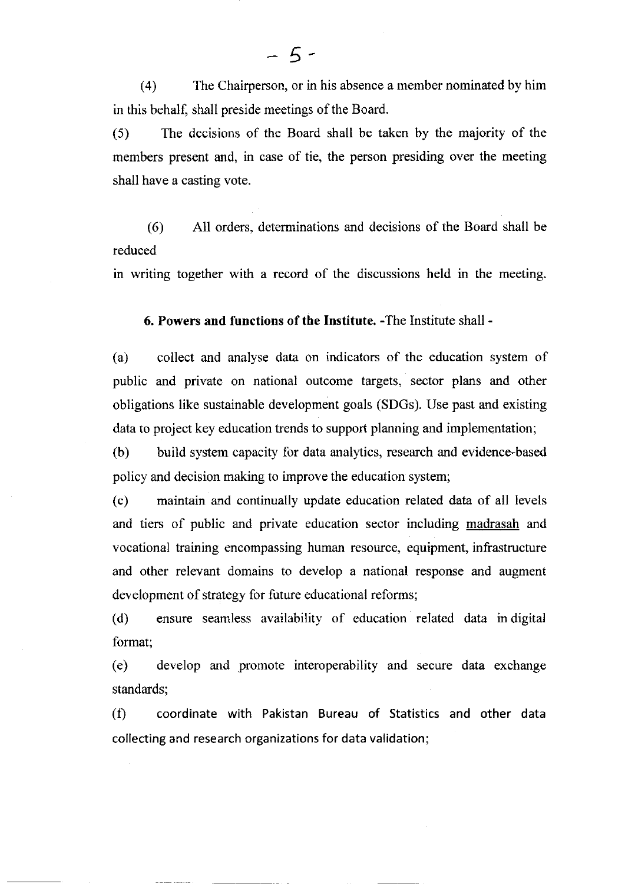(4) The Chairperson, or in his absence a member nominated by him in this behalf, shall preside meetings of the Board.

(5) The decisions of the Board shall be taken by the majority of the members present and, in case of tie, the person presiding over the meeting shall have a casting vote.

(6) All orders, determinations and decisions of the Board shall be reduced

in writing together with a record of the discussions held in the meeting.

6. Powers and functions of the Institute. -The Institute shall -

(a) collect and analyse data on indicators of the education system of public and private on national outcome targets, sector plans and other obligations like sustainable development goals (SDGs). Use past and existing data to project key education trends to support planning and implementation;

(b) build system capacity for data analytics, research and evidence-based policy and decision making to improve the education system;

(c) maintain and continually update education related data of all levels and tiers of public and private education sector including madrasah and vocational training encompassing human resource, equipment, infrastructure and other relevant domains to develop a national response and augment development of strategy for future educational reforms;

(d) ensure seamless availability of education related data in digital format;

(e) develop and promote interoperability and secure data exchange standards;

(0 coordinate with Pakistan Bureau of Statistics and other data collecting and research organizations for data validation;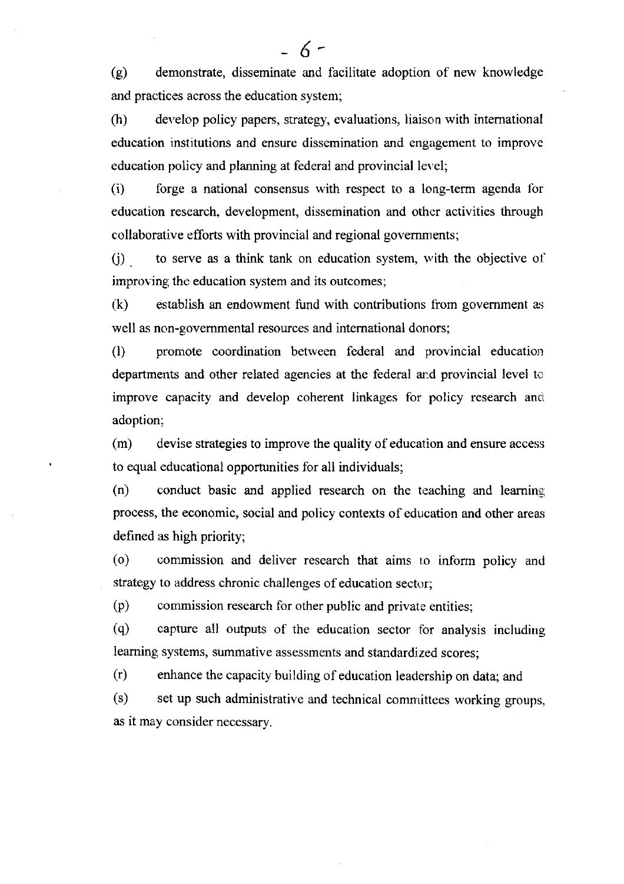(g) demonstrate, disseminate and facilitate adoption of new knowledge and practices across the education system;

- 6-

(h) develop policy papers, strategy, evaluations, liaison with intemational education institutions and ensure dissemination and engagement to improve education policy and planning at federal and provincial level;

(i) forge a national consensus with respect to a long-term agenda for education research, development, dissemination and other activities through collaborative efforts with provincial and regional governments;

 $(i)$ to serve as a think tank on education system, with the objective of improving the education system and its outcomes;

(k) establish an endowment fund with contributions from govemment as well as non-govemmental resources and intemational donors;

(1) promote coordination between federal and provincial education departments and other related agencies at the federal and provincial level to improve capacity and develop coherent linkages for policy research and adoption:

(m) devise strategies to improve the quality of education and ensure access to equal educational opportunities for all individuals;

 $(n)$  conduct basic and applied research on the teaching and learning process, the economic, social and policy contexts of education and other areas defined as high priority;

(o) commission and deliver research that aims to inform policy and strategy to address chronic challenges of education sector;

(p) commission research for other public and private entities;

(q) capture all outputs of the education sector for analysis including leaming systems, summative assessments and standardized scores;

G) enhance the capacity building of education leadership on data; and

(s) set up such administrative and technical committees working groups, as it may consider necessary.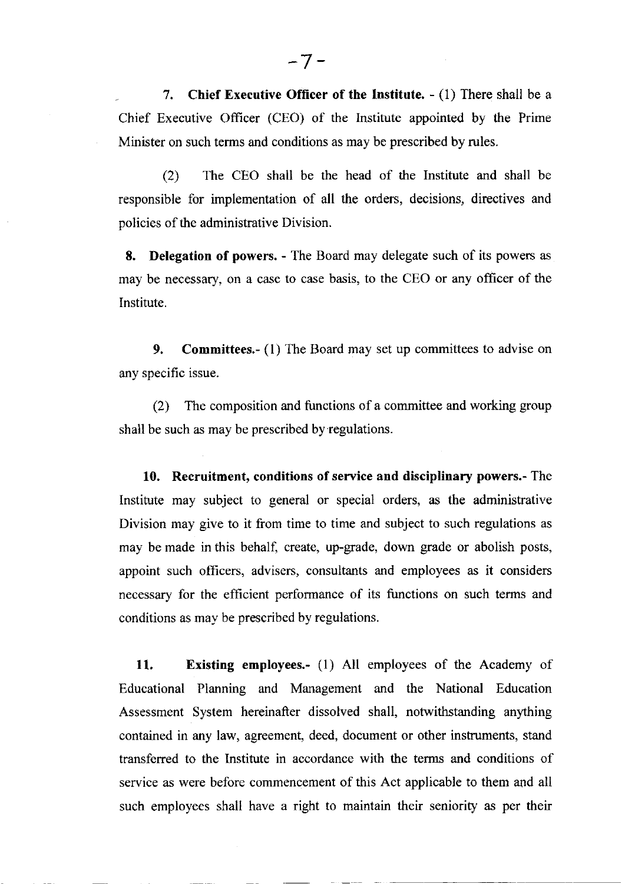7. Chief Executive Officer of the Institute.  $- (1)$  There shall be a Chief Executive Officer (CEO) of the Institute appointed by the Prime Minister on such terms and conditions as may be prescribed by rules.

(2) The CEO shall be the head of the Institute and shall be responsible for implementation of all the orders, decisions, directives and policies of the administrative Division.

8. Delegation of powers. - The Board may delegate such of its powers as may be necessary, on a case to case basis, to the CEO or any officer of the Institute.

9. Committees.- (1) The Board may set up committees to advise on any specific issue.

(2) The composition and functions of a committee and working group shall be such as may be prescribed by regulations.

10. Recruitment, conditions of service and disciplinary powers.- The Institute may subject to general or special orders, as the administrative Division may give to it from time to time and subject to such regulations as may be made in this behalf, create, up-grade, down grade or abolish posts, appoint such officers, advisers, consultants and employees as it considers necessaxy for the efficient performance of its functions on such terms and conditions as may be prescribed by regulations.

11. Existing employees.- (1) All employees of the Academy of Educational Planning and Management and the National Education Assessment System hereinafter dissolved shall, notwithstanding anything contained in any law, agreement, deed, document or other instruments, stand transferred to the lnstitute in accordance with the terms and conditions of service as were before commencement of this Act applicable to them and all such employees shall have a right to maintain their seniority as per their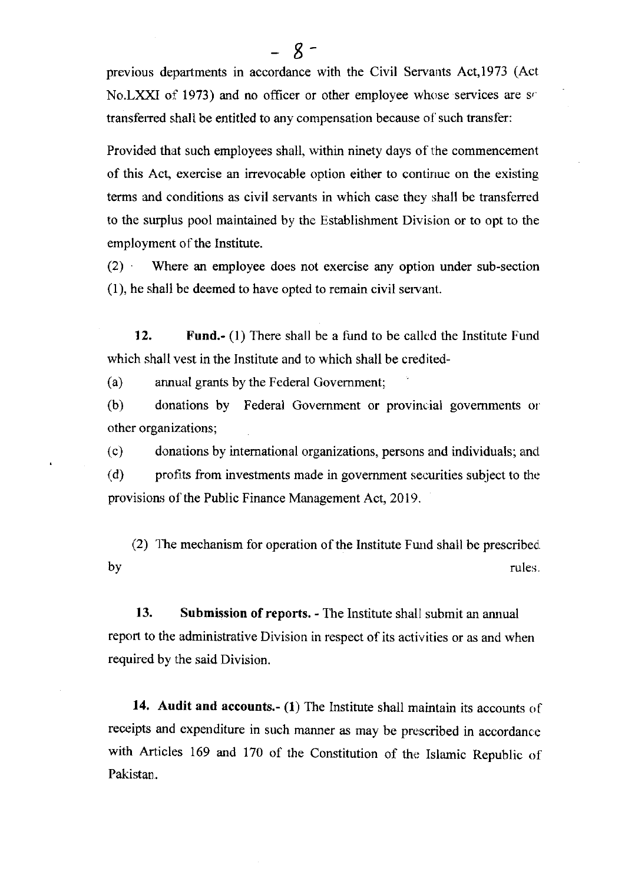previous departments in accordance with the Civil Servants Act,1973 (Act No.LXXI of 1973) and no officer or other employee whose services are so transferred shall be entitled to any compensation because of such transfer:

Provided that such employees shall, within ninety days of the commencement of this Act, exercise an irrevocable option either to continue on the existing terms and conditions as civil servants in which case they shall be transferred to the surplus pool maintained by the Establishment Division or to opt to the employment of the Institute.

(2) Where an employee does not exercise any option under sub-section (1), he shall be deemed to have opted to remain civil servarlt.

12. Fund.- (1) There shall be a fund to be called the Institute Fund which shall vest in the Institute and to which shall be credited-

(a) arurual grants by the Federal Govemment;

(b) donations by Federal Government or provincial governments or other organizations;

(c) donations by intemational organizations, persons and individuals; and

(d) profits from investments made in government securities subject to the provisions of the Public Finance Management Act, 2019.

(2) The mechanism for operation of the Institute Fund shall be prescribed. by the contract of the contract of the contract of the contract of the contract of the contract of the contract of the contract of the contract of the contract of the contract of the contract of the contract of the contrac

13. Submission of reports. - The Institute shall submit an annual report to the administrative Division in respect of its activities or as and when required by the said Division.

14. Audit and accounts.- (1) The Institute shall maintain its accounts of receipts and expenditure in such manner as may be prescribed in accordance with Articles 169 and 170 of the Constitution of the Islamic Republic of Pakistan.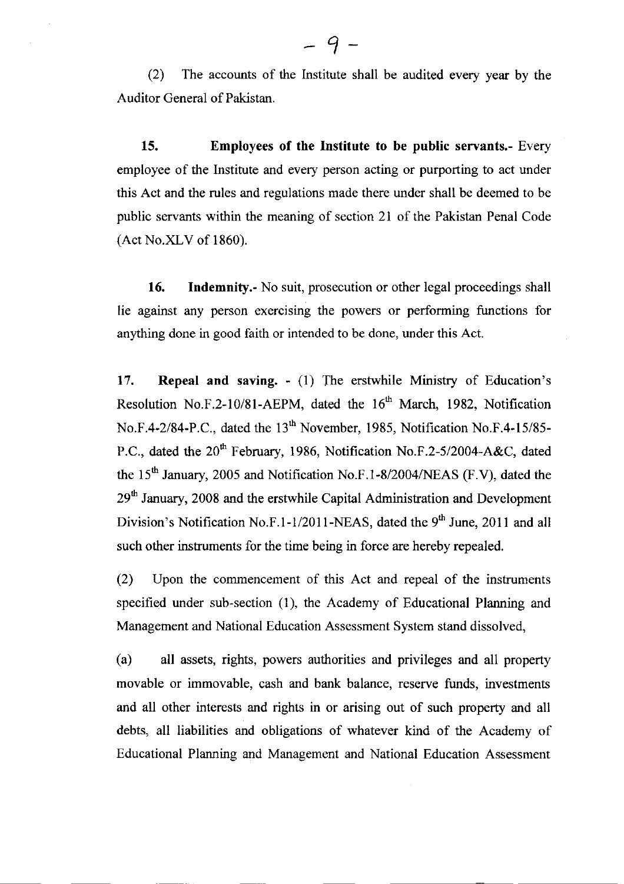(2) The accounts of the lnstitute shall be audited every year by the Auditor General of Pakistan.

15. Employees of the Institute to be public servants.- Every employee of the Institute and every person acting or purporting to act under this Act and the rules and regulations made there under shall be deemed to be public servants within the meaning of section 2l of the Pakistan Penal Code (Act No.XLV of 1860).

**16.** Indemnity.- No suit, prosecution or other legal proceedings shall lie against any person exercising the powers or performing functions for anything done in good faith or intended to be done, under this Act.

17. Repeal and saving. - (1) fhe erstwhile Ministry of Education's Resolution No.F.2-10/81-AEPM, dated the  $16<sup>th</sup>$  March, 1982, Notification No.F.4-2/84-P.C., dated the 13<sup>th</sup> November, 1985, Notification No.F.4-15/85-P.C., dated the 20<sup>th</sup> February, 1986, Notification No.F.2-5/2004-A&C, dated the  $15<sup>th</sup>$  January, 2005 and Notification No.F.1-8/2004/NEAS (F.V), dated the 29<sup>th</sup> January, 2008 and the erstwhile Capital Administration and Development Division's Notification No.F.1-1/2011-NEAS, dated the  $9<sup>th</sup>$  June, 2011 and all such other instruments for the time being in force are hereby repealed.

(2) Upon the commencement of this Act and repeal of the instruments specified under sub-section (1), the Academy of Educational Planning and Management and National Education Assessment System stand dissolved,

(a) all assets, rights, powers authorities and privileges and all property movable or immovable, cash and bank balance, reserye funds, investments and all other interests and rights in or arising out of such property and all debts, all liabilities and obligations of whatever kind of the Academy of Educational Planning and Management and National Education Assessment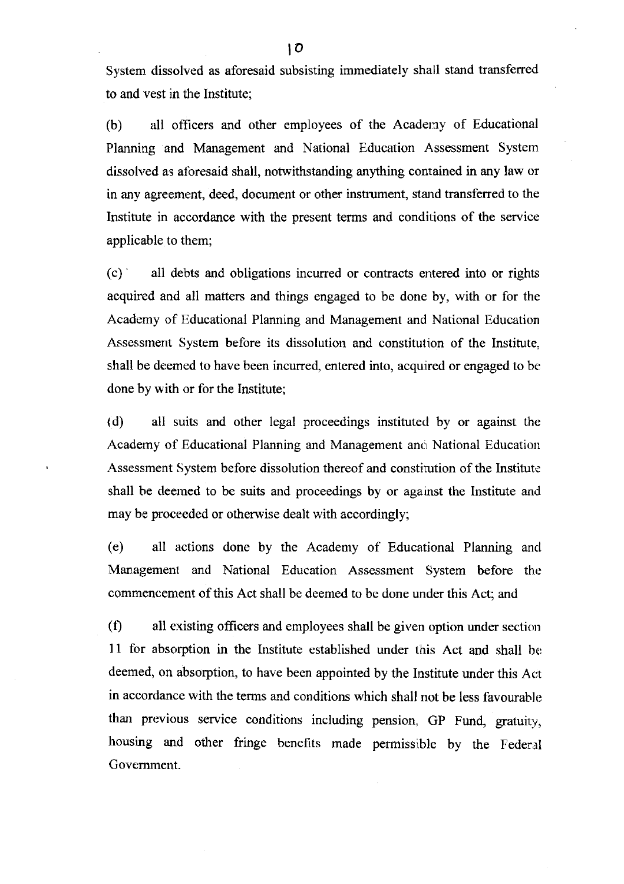System dissolved as aforesaid subsisting immediately shall stand transferred to and vest in the Institute;

(b) all officers and other employees of the Academy of Educational Planning and Management and National Education Assessment System dissolved as aforesaid shall, notwithstanding anything contained in any law or in any agreement, deed, document or other instrument, stand transferred to the Institute in accordance with the present terms and conditions of the service applicable to them;

 $(c)$  all debts and obligations incurred or contracts entered into or rights acquired and all matters and things engaged to be done by, with or for the Academy of Educational Planning and Management and National Education Assessment System before its dissolution and constitution of the Institute. shall be deemed to have been incurred, entered into, acquired or engaged to be' done by with or for the Institute;

(d) all suits and other lega! proceedings instituted by or against the Academy of Educational Planning and Management and National Education Assessment System before dissolution thereof and constirution of the lnstitute shall be deemed to be suits and proceedings by or against the Institute and may be proceeded or otherwise dealt with accordingly;

(e) all actions done by the Academy of Educational Planning and Management and National Education Assessment System before the commencement of this Act shall be deemed to bc done under this Act: and

 $(0)$  all existing officers and employees shall be given option under section 11 for absorption in the Institute established under this Act and shall be deemed, on absorption, to have been appointed by the Institute under this Acc in accordance with the terms and conditions which shall not be less favourable than previous service conditions including pension, GP Fund, gratuity, housing and other fringe benefits made permissible by the Federal Govemment.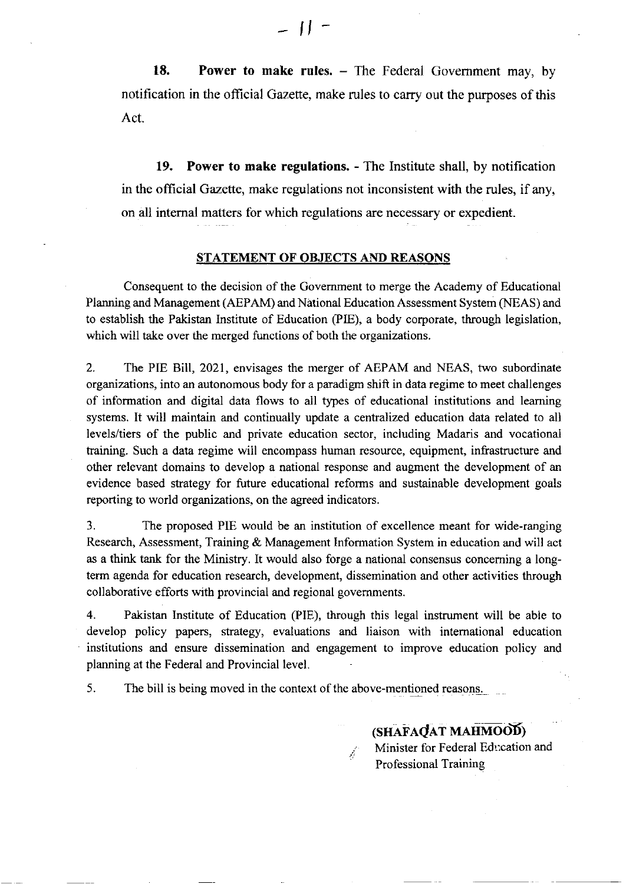18. Power to make rules. – The Federal Government may, by notification in the official Gazette, make rules to carry out the purposes of this Act.

19. Power to make regulations. - The Institute shall, by notification in the official Gazette, make regulations not inconsistent with the rules, if any, on all internal matters for which regulations are necessary or expedient.

#### STATEMENT OF OBJECTS AND REASONS

Consequent to the decision of the Govemment to merge the Academy of Educational Planning and Management (AEPAM) and National Education Assessment System (NEAS) and to establish the Pakistan Institute of Education (PIE), a body corporate, through legislation, which will take over the merged functions of both the organizations.

2. The PIE Bill, 2021, envisages the merger of AEPAM and NEAS, two subordinate organizations, into an autonomous body for a paradigrn shift in data regime to meet challenges of information ard digital data flows to all types of educational institutions and leaming systems. It will maintain and continually update a centralized education data related to all levels/tiers of the public and private education sector, including Madaris and vocational training. Such a data regime will encompass human resource, equipment, infrastructure and other relevant domains to develop a national response and augment the development of an evidence based strategy for future educational reforms and sustainable development goals reporting to world organizations, on the agreed indicators.

3. The proposed PIE would be an institution of excellence meant for wide-ranging Research, Assessment, Training & Management Information System in education and will act as a think tank for the Ministry. It would also forge a national consensus conceming a longterm agenda for education research, development, dissemination and other activities through collaborative efforts with provincial and regional governments.

4. Pakistan Institute of Education (PIE), through this legal instrument will be able to develop policy papers, stategy, evaluations and liaison with intemational education institutions and ensure dissemination and engagement to improve education policy and planning at the Federal and Provincial level.

 $\vec{d}^{\pm}$ 

5. The bill is being moved in the context of the above-mentioned reasons.

(SHAFAQAT MAHMOOD) Minister for Federal Edr:cation and Professional Training

 $-11$  -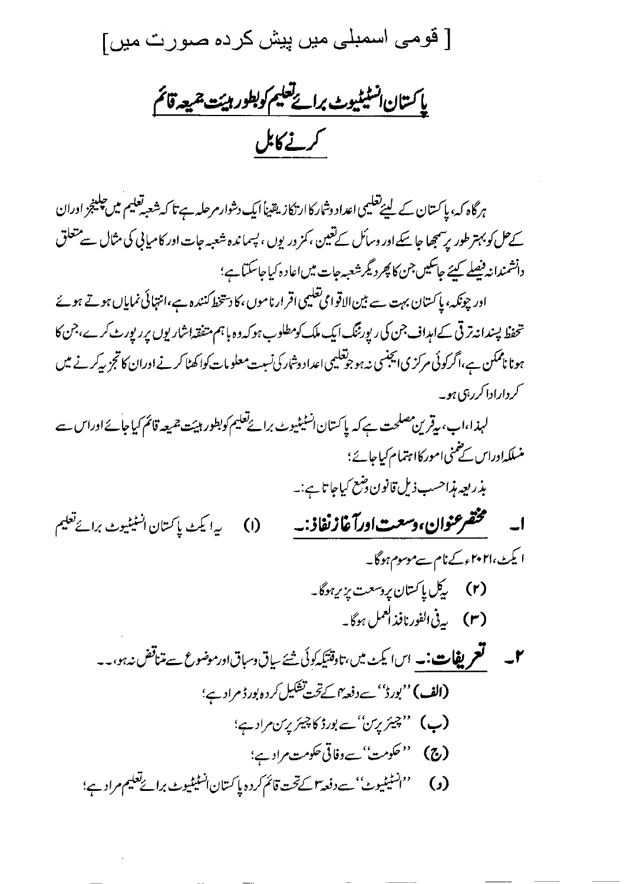[ قومی اسمبلی میں پیش کردہ صورت میں]

ياكىتان انسٹیٹیوٹ برائے تعلیم کوبطور ہیئت جمیعہ قائم کرنے کابل

ہرگاہ کہ، پاکستان کے لیپےتعلیمی اعداد وشارکاار نکاز یقیناً ایک دشوارمرحلہ ہے تا کہ شعبہ تعلیم میں چلینجز اوران کےحل کو بہتر طور برسمجھا جا سکے اور وسائل کے تعین ، کمز وریوں ، پسماندہ شعبہ جات اور کامیابی کی مثال سے متعلق دانشمندانه فیصلے کیئے جاسکیں جن کا پھر دیگر شعبہ جات میں اعاد ہ کیا جاسکتا ہے؛ اور چونکہ، پاکستان بہت سے بین الاقوامی تعلیمی اقرار ناموں، کا دستخط کنندہ ہے،انتہائی نمایاں ہوتے ہوئے تحفظ پسندانه ترتی کےامداف جن کی ریورٹنگ ایک ملک کومطلوب ہو کہ وہ باہم متفقہاشاریوں پرریورٹ کرے،جن کا ہونا ناممکن ہے،اگرکوئی مرکزی ایجنسی نہ ہوجوتعلیمی اعداد دشارکی نسبت معلومات کواکھٹا کرنے اوران کا تجز پیرکہ نے میں کرداراداکرربی ہو۔ لہذا،اب، يقرين مصلحت ہے كہ پاكستان انسٹیٹیوٹ برائےتعلیم كوبطور ہیئت جمیعہ قائم كیاجائے اوراس سے منسلکہاوراس کے نمنی امور کااہتمام کیاجائے؛ بذريعه مذاحسب ذيل قانون دضع كياجا تاہے:۔ ا۔ گھشخشوان،وسعتاورآغازنفاذ :۔ ببرا يكث بإكستان انسنينيوث برائح تعليم  $\omega$ ا یکٹ،۲۰۲۱ءکےنام سےموسوم ہوگا۔ (۲) گیل پاکستان پروسعت پزی<sub>ر</sub>ہوگا۔ (۳) بەيغى الفورنافذ العمل ہوگا۔ **۲۔ لعمر یفات:۔** اسا یکٹ میں،تاوقتیکہ کوئی شئے سیاق دسباقاور موضوع سے متناقض نہ ہو،۔۔ (الف)''بورڈ''سے دفعہ ؒاسکے تحت تشکیل کردہ بورڈ مراد ہے؛ (ب) "چیئریرس"ے بورڈ کاچیئریرس مرادے؛ **(ج) ''حکومت''سےوفاتی حکومت مرادے؛**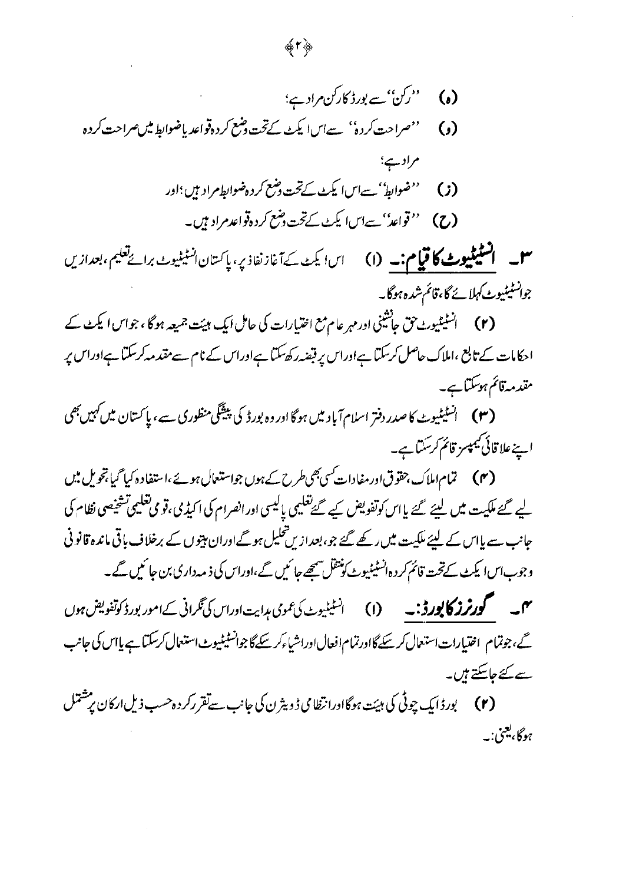**سل \_ السَّيْمَلِيوٹ کا قيام:۔ (ا**) \_ اسا يکٹ کے آغازنفاذ پر، پاکستان انسٹیٹیوٹ برائےتعلیم، بعدازیں جوانسٹیٹیوٹ کہلائے گا،قائم شدہ ہوگا۔

احکامات کے تابع ،املاک حاصل کرسکتا ہےاوراس پر قبضہ رکھ سکتا ہےاوراس کے نام سے مقدمہ کرسکتا ہےاوراس پر مقدمہ قائم ہوسکتا ہے۔

اپنےعلاقائی کیمپسز قائم کرسکتا ہے۔

(۴) تمام املاَک،حقوق اور مفادات کسی بھی طرح کے ہوں جواستعمال ہوئے ،استفادہ کیا گیا تجویل میں لیے گئے ملکیت میں لیئے گئے پااس کوتفویض کیے گئے تعلیمی پالیسی اورانصرام کی اکیڈی،قومی تعلیمی تشخیصی نظام کی جانب سے پااس کے لیئے ملکیت میں رکھے گئے جو، بعداز <sup>میں تح</sup>لیل ہوگےاوران مہیوں کے برخلاف باقی ماندہ قانو نی وجوب اسا یکٹ کےتحت قائم کر دہ انسٹیٹیوٹ کونتقل ہیچے جا ئیں گے ،اوراس کی ذیہ داری بن جا ئیں گے ۔ مہم سے مس**حور ٹرز کا پورڈ :۔** (۱) انسٹیٹیوٹ کی عمومی ہدایت اوراس کی نگرانی کے امور بورڈ کوتفویض ہوں گے،جوتمام اختیارات استعال کرسکے گااورتمام افعال اوراشیاءکرسکے گاجوانسٹیٹیوٹ استعمال کرسکتاہے پااس کی جانب

سے کئے جاسکتے ہیں۔

(۲) پورڈایک چوٹی کی ہیئت ہوگاادرانظا می ڈویٹرن کی جانب سےتقررکر دہ حسب ذیل ارکان پر مشتل ہوگا، یعنی.۔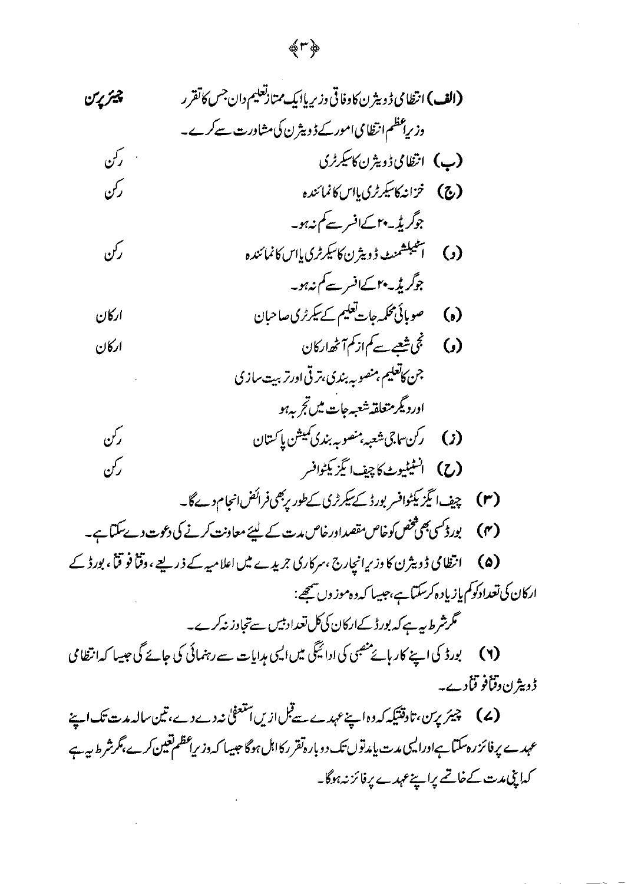### チトウ

(۷) چیئر پرین،تادقتیکہ کہ دہ اپنے عہدے سےقبل ازیں استعفیٰ نہ دے دے،تین سالہ مدت تک اپنے عہدے پر فائزرہ سکتا ہےاورالیں مدت یامدتوں تک دوبارہ تقرر کااہل ہوگا جیسا کہ وزیراعظم تعین کرے،گرشرط ہیہ ہے كەاپنى مەت كے خاتىم پراپنےعہدے پر فائز نہ ہوگا۔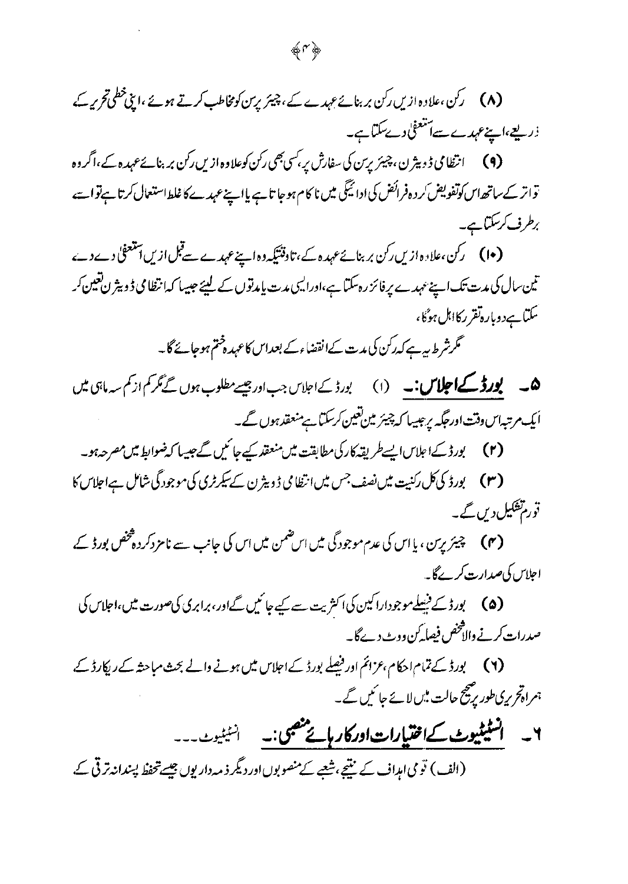(۹) انتظامی ڈ دیٹر ن، چیئریرس کی سفارش پر <sup>کس</sup>ی بھی رکن کوعلاوہ از س رکن بر بنائےعہدہ کے،اگروہ تواتر کے ساتھ اس کوتفویض کر دہ فرائض کی ادائیگی میں نا کام ہوجا تا ہے یااپنےعہدے کا غلط استعال کرتا ہےتوا سے برطرف کرسکتاہے۔

تین سال کی مدت تک اپنے عہدے پر فائز رہ سکتا ہے،اورالیہی مدت پامدتوں کے لیئے جیسا کہ انتظامی ڈ ویثر ل تعیین کر سکتا ہےدوبارہ تقرر کااہل ہوگا،

گرشر ط ہیرہے کہ رکن کی مدت کےا نقضاءکے بعداس کاعہد دختم ہوجائے گا۔

ھ ۔ **پورڈ کے اجلاس:۔** (۱) بورڈ کے اجلاس جب اور جیسے مطلوب ہوں گے نگر کم از کم سہ ماہی میں ایک مرتبہاں وقت اورحگہ پر جیسا کہ چیئر میں تعین کرسکتا ہے منعقد ہوں گے۔

(۲) بورڈ کےاعلاس ایسے طریقہ کارکی مطابقت میں منعقد کے جائیں گے جیسا کہ ضوابط میں مصر حہ ہو۔

(۳) پورڈ کی کل رکنیت میں نصف جس میں انتظامی ڈویٹر ن کے سکرٹری کی موجود گی شامل ہےاجلاس کا قورم<sup>ہش</sup>کیل دیں گے۔

(۴) ۔ چیئر پرین ، پا اس کی عدم موجود گی میں اس ضمن میں اس کی جانب سے نامزدکر دہ<sup>ھخ</sup>ص بورڈ کے، اجلا*س کی صد*ارت کرےگا۔

(۵) گورڈ کے نیسلےموجوداراکین کی اکثریت سے کیے جاتمیں گےاور، برابری کی صورت میں،اجلاس کی صدرات کرنے والاتخص فیصا کرن ووٹ دےگا۔

(۲) گیورڈ کے تمام احکام ،عزائم اور فیصلے بورڈ کے اجلاس میں ہونے والے بحث مباحثہ کے ریکارڈ کے، ہمراہ تحریری طور پر پیج حالت میں لائے جا کیں گے۔

۲۔ انسٹیٹیوٹ کےا**ختیارات اورکار ہائے جنصی:۔** انسٹیٹیوٹ (الف) توی امداف کے نتیجے،شعبے کے منصوبوں اور دیگر ذید داریوں جیسے تحفظ پسندانہ ترقی کے.

垂い声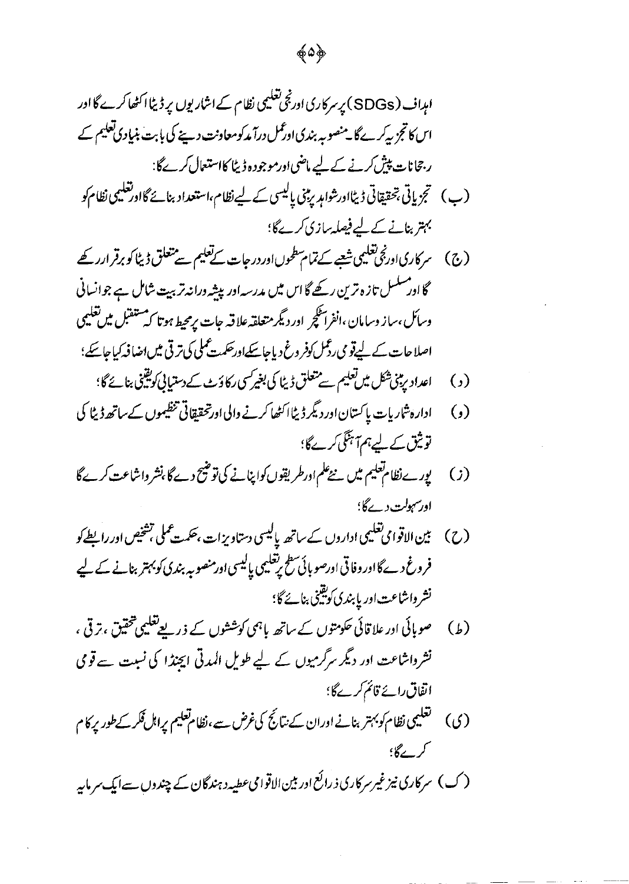- (ج) سرکاریااور بجی تعلیمی شعبے کے تمام سطحوںااور درجات کے تعلیم سے متعلق ڈیٹا کو برقر ارر کھے گا اور مسکسل تازہ ترین رکھے گا اس میں مدرسہ اور پیشہ ورانہ تربیت شامل ہے جوانسانی وسائل،ساز وسامان ،انفراسکچر اور دیگر متعلقہ علاقہ جات پرمحیط ہوتا کہ ستقبل میں تعلیمی اصلاحات کے لیےقو می رڈمل کوفر وغ دیاجا سکےاور حکمت مملی کی ترقی میں اضافہ کیاجا سکے؛
	- اعداد پڑی شکل میں تعلیم سے متعلق ڈیٹا کی بغیر سی رکاؤٹ کے دستیانی کویقینی بنائے گا؛  $\left( \cdot \right)$
- ادارہ شاریات پاکستان اور دیگر ڈیٹااکٹھا کرنے والی اورتحقیقاتی تنظیموں کےساتھ ڈیٹا کی  $\left( \, \right)$ توثیق کے لیے ہم7ہنگی کرےگا؛
- یورےنظام تعلیم میں نئےعلم ادرطریقوں کواپنانے کی توضیح دے گا ،نشر واشاعت کرے گا  $(i)$ اورسہولت دےگا؛
- (ح) بین الاقوامی تعلیمی اداروں کے ساتھہ پالیسی دستاویزات ،حکمت عملی تشخیص اور رابطے کو فروغ دےگااور وفاقی اورصو بائی سطح رتعلیمی پالیسی اورمنصوبہ بندی کو بہتر بنانے کے لیے نشر واشاعت اور پابندی کویتینی بنائے گا؛
- صوبائی اور علا قائی حکومتوں کے ساتھ پاہمی کوششوں کے ذریعے تعلیمی شخقیق ، تر قی ،  $\left( \frac{1}{2} \right)$ نشر واشاعت اور دیگر سر گرمیوں کے لیے طویل المدتی ایجنڈا کی نسبت سے قومی اتفاق رائے قائم کرےگا؛
- تغلیمی نظام کوبہتر بنانے اوران کے نتائج کی غرض سے، نظام تعلیم پراہل فکر کے طور پر کام  $\zeta(3)$ کر گے؟؛

(ک) سرکاری نیز غیرسرکاری ذرائع اور بین الاقوامی عطیہ د ہندگان کے چندوں سےایک سرمایہ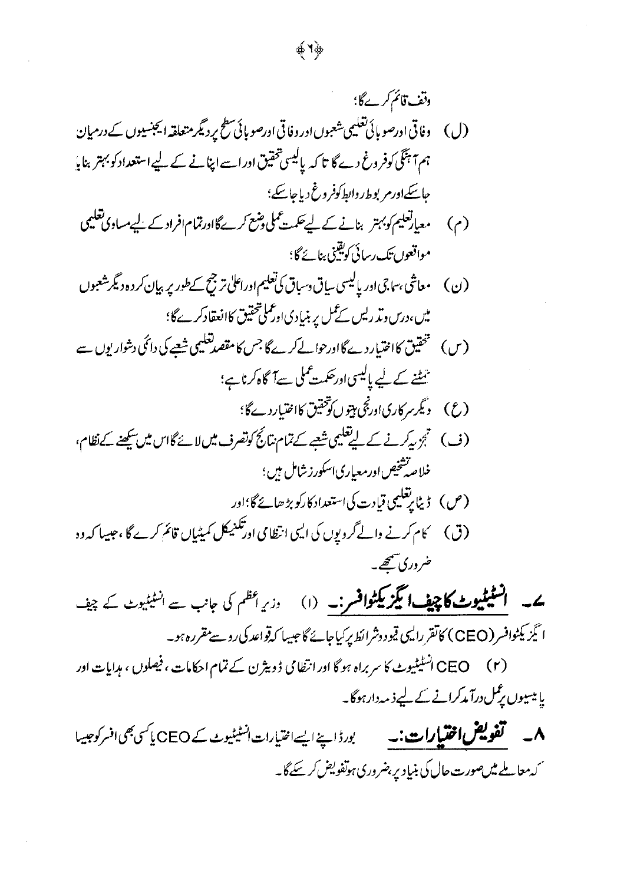## ونف قائم *کرے*گا؛ (ل) وفاقی اورصو بائی تغلیمی شعبوں ادر وفاقی اورصو بائی سطح پر دیگر متعلقہ ایجنسیوں کے درمیان ہم آہنگی کوفر وغ دے گا تا کہ پالیسی تحقیق اوراسے اپنانے کے لیے استعداد کو بہتر بنایا ماسکےاورم بوط ر دانط کوفر دغ دیاجاسکے؛ (م) معیارتعلیم *کوبہتر* بنانے کے لیے حکمت عملی *وشع کرے* گااورتمام افراد کے لیے مساوی تعلیمی مواقعوں تک رسائی کویقینی بنائے گا؛ (ن) معاشی ،ساجی اورپالیسی ساق دسباق کی تعلیم اوراعلی ترجیح کے طورپر بیان کر دہ دیگر شعبوں میں،درس دیڈ ریس کے کمل پر بنیادی اور کملی تحقیق کاانعقادکرےگا؛ تنٹنے کے لیے پالیسی اورحکمت مملی سےآگاہ کرناہے؛ (ع) دېگرسر کارياادرنجي مېټوں کوتحقيق کااختيار دےگا؛ (ف) تجريركرنے کے ليے تعليمى شعبے کے تمام نتائج كوتصرف ميں لانے گان ميں سکھنے کے نظام، خلاصرشخیص اورمعیاری اسکورز شامل ہیں ؛

ے۔ اسٹیٹیوٹ کا چیف ایگزیکٹوافسر:۔ (۱) دری<sup>اظم</sup> کی جانب سے ا<sup>شٹیٹ</sup>یوٹ کے چیف ا ٹیَزیکٹوافسر (CEO) کاتقر رایسی قیودوشرائط پرکیاجائے گا جیپیا کی**تواعد کی روسے مقررہ ہو۔** 

ضر دری شتھے۔

CEO انسٹیٹیوٹ کا سربراہ ہو گا اور انتظامی ڈویثرن کے تمام احکامات ، فیصلوں ، ہدایات اور  $(r)$ یا میسیوں پر کس درآ مدکرانے کے لیے ذید دارہوگا۔

**۸۔ گفویض اختیارات:۔** بورڈ اپنے ایسے اختیارات انسٹیٹیوٹ کے CEO یا کسی بھی افسر کوجیسا <sup>س</sup> بہ حال**یے میں صورت حال کی بنیاد پر بضروری ہوتفویض کر سکے گا۔** 

垂り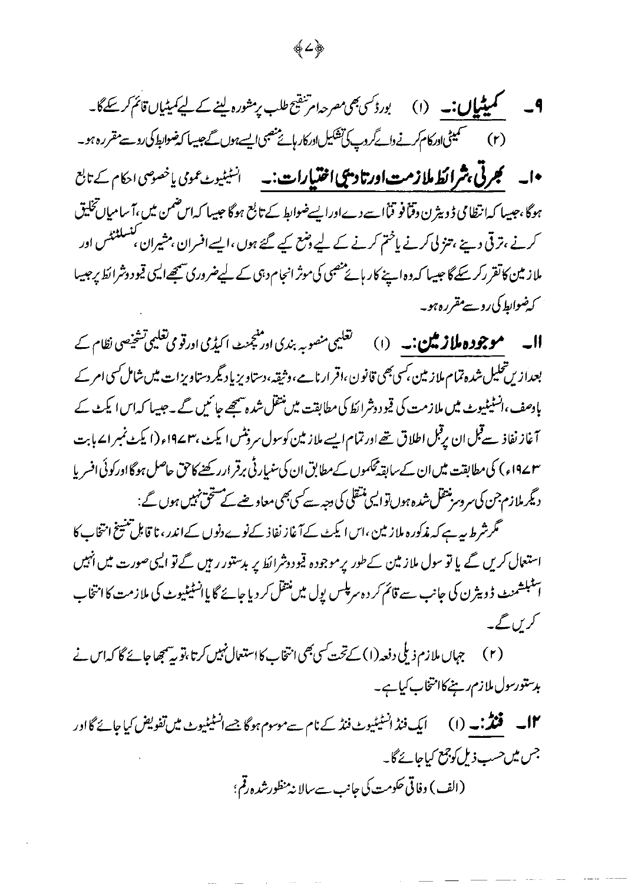**9۔ میٹیمیاں:۔** (۱) بورڈسیبھی مصرحہ امرشقیح طلب پرمشورہ لینے کے لیے کمیٹیاں قائم کرسکےگا۔ (٢) سیمیٹی اور کام کرنے وا کروپ کی تشکیل اور کار بائے منصبی ایسے ہوں گے جیسا کہ ضوابط کی روسے مقررہ ہو۔ •ا۔ **گجرٹی،شرائط ملازمت اورتادیچی اختیارات:۔** انسٹیٹیوٹ عموی یاخصوص احکام کے تابع ہوگا،جیسا کہ انتظامی ڈویٹرن دقناً فو قناً اسے دےاورایسےضوابط کے تابع ہوگا جیسا کہ اس ضمن میں،آسامیاںتخلیق کرنے ،ترقی دیئے ،تنز لی کرنے یا<sup>خت</sup>م کرنے کے لیے *وضع کیے گئے ہوں ،*ایسےافسران ،مشیران ،تشملنٹٹس اور ملاز مین کاتقر رکر سکے گا جیسا کہ وہ اپنے کار ہائے منصبی کی موثر انجام دہی کے لیےضروری سمجھےالیں قیو دوشرائط پرجيسا کے ضوابط کی روسے مقررہ ہو۔

**اا۔ موجودہ ملاز مین:۔** (۱) گ<sup>تعلی</sup>ی منصوبہ بندی اور پجنٹ اکیڈی اورقوی تعلیمی تشخیصی نظام کے بعداز پں تحلیل شدہ تمام ملاز مین بسی بھی قانون ،اقرار نامے ،وثیقہ،دستاویزیاد یکر دستاویزات میں شامل کسی امر کے بادصف،انسٹیٹیوٹ میں ملازمت کی قیو دوشرائط کی مطابقت میں نتقل شدہ سمجھے جا کیں گے ۔جیسا کہ اس ایکٹ کے آغاز نفاذ سےقبل ان پرقبل اطلاق تھے اور تمام ایسے ملاز مین کوسول سرونٹس ایکٹ ،۱۹۷۲ء (ایکٹ نمبر ایے بابت ۴۷ء) کی مطابقت میں ان کےسابقہ محکموں کے مطابق ان کی سنبار ٹی برقر ارر کھنے کاحق حاصل ہوگا اورکوئی افسر پا دیگر ملازم جن کی سروسر منتقل شدہ ہوں توالیں منتقلی کی دجہ سے کسی بھی معاوضے کے مستحق نہیں ہوں گے : گرشرط سہ ہے کہ مذکورہ ملاز مین ،اس ایکٹ کے آغاز نفاذ کےنوے دنوں کےاندر ، نا قابل تنشیخ انتخاب کا

استعال کریں گے یا تو سول ملازمین کےطور پرموجودہ قیودوشرائط پر بدستور رہیں گے تو ایسی صورت میں انہیں ائىلمېشىنىپ ۋويترن كى جانب سے قائم كر دەسرىپىس يول مىں نتقل كر ديا جائے گا ياانسٹىليوٹ كى ملازمت كا انتخاب کریں گے۔

(۲) جہاں ملازم ذیلی دفعہ (۱) کے تحت کسی بھی انتخاب کا استعمال نہیں کرتا ،تو یہ پیچھا جائے گا کہ اس نے ېدستورسول ملازم رينے کاانتخاب کياہے۔

**۱۲۔ فنڈ:۔** (۱) ایک فنڈ انسٹیٹیوٹ فنڈ کے نام سے موسوم ہوگا جسے انسٹیٹیوٹ میں تفویض کیا جائے گا اور جس میں حسب ذیل کوجمع کیاجائے گا۔ (الف) وفاقي حكومت كي جانب سے سالا نه منظورشده رقم؛

4∠∲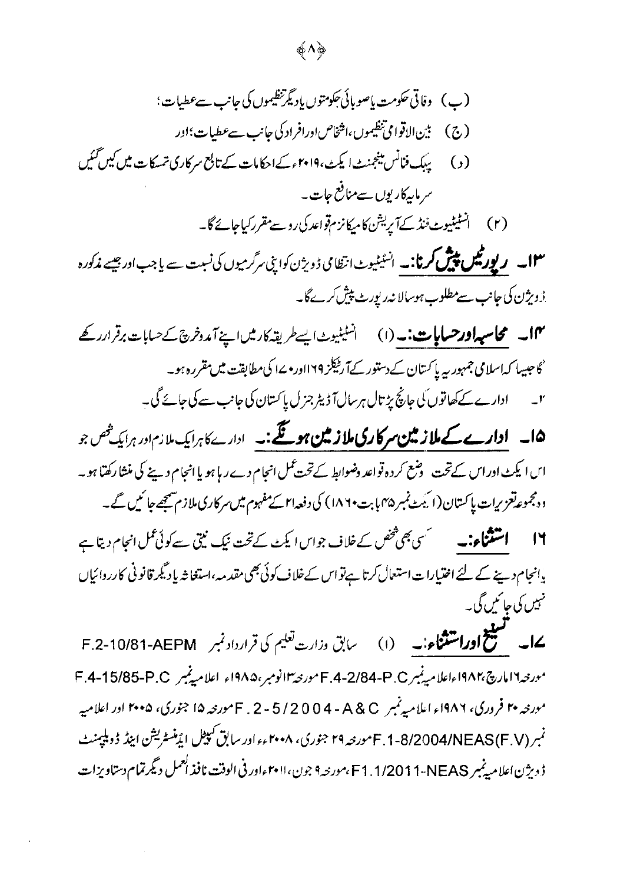## (پ) وقاتی حکومت یاصوبائی جکومتوں یادیگرننظیموں کی جانب سےعطیات؛ (ج) بين الاقوامي تنظيموں،اشخاص اورافراد کی جانب سےعطیات؛اور (ج) (د) پیپک فنانس مینجمنٹ ایکٹ، ۲۰۱۹ءکےاحکامات کے تابع سرکاری تمسکات میں کیں گئیں سر مایہ کاریوں سےمنافع جات ۔

**۱۳۔ رپورٹیل پیش کرنا:۔** انسٹیٹیوٹ انتظامی ڈویژن کواپنی سرگرمیوں کی نسبت سے یا جب اور جیسے م**ذکورہ** <u>ڑوبژن کی جانب سے مطلوب ہوسالا نہ رپورٹ پیش کرے گا۔</u>

١٣ - محاسيداورحسابات: (١) انسيسيوث يسطر يقدكار مين اسينة تدوخرج كے حسابات برقر ارركے گا جیسا کہ اسلامی جمہور <sub>بیر</sub> پاکستان کے دستور کےآ ریلیکز ۱۲۹اور مےا کی مطابقت میں مقررہ ہو۔ ادارے کے کھاتوں کی جانچ پڑتال ہرسال آ ڈیٹر جزل پاکستان کی جانب سے کی جائے گی۔  $\overline{r}$ 

10۔ اوارے کے ملاز مین سرکاری ملاز مین ہوتگے:۔ ادارےکا برایک ملازم اور برایک خص جو ایں ایکٹ اور اس کےتحت سوشع کر دہ قواعد دضوابط کےتحت عمل انجام دےر یا ہو یا انجام دینے کی منشا رکھتا ہو۔ د دمجموعہ تعزیرات پاکستان (ایکٹ نمبر ۱۸۴۵ پابت ۱۸۶۰) کی دفعہ ام کے مفہوم میں سرکاری ملازم شیجھے جا ئیں گے۔

یانجام دینے کے لئے اختیارات استعال کرتا ہےنواس کےخلاف کوئی بھی مقدمہ ،استغاثہ یاد گیمرقانونی کارروائیاں مہیں کی جائمیں گی۔

ےا۔ گستیج اوراشتناء:۔ (۱) \_ سابق وزارت تعلیم کی قرارداد نمبر F.2-10/81-AEPM مورجه11مارچ،١٩٨٢ءاعلاميهنبرP.4-2/84-P.O مورجه ١٩٨٥م، ١٩٨٥ء اعلاميهنبر F.4-15/85-P.O مورخه ۲۰ فروری، ۱۹۸۶ء اعلامیه نمبر A & C - 5 / 2 0 0 4 - A مورخه ۱۵ جنوری، ۲۰۰۵ اور اعلامیه نمبر (F.1-8/2004/NEAS(F.V مورخه ۲۹ جنوری، ۲۰۰۸ءءاور سابق کپیٹل ایڈمنسٹریشن اینڈ ڈوبلیمنٹ ڈ دیژن اعلامیڈنبر F1.1/2011-NEAS،مورنیہ۹ جون،۱۱۰۲ءاور فی الوقت نافذ العمل دیگرتمام دستاویزات

ф Л ф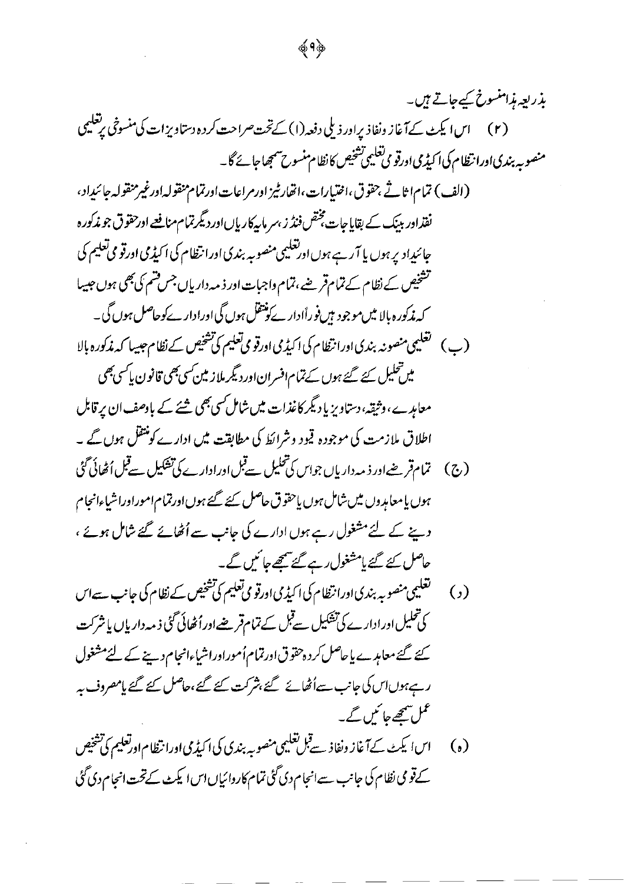کے قومی نظام کی جانب سے انجام دی گئی تمام کاروائیاں اس ایکٹ کے تحت انجام دی گئی

 $\ddot{\phantom{0}}$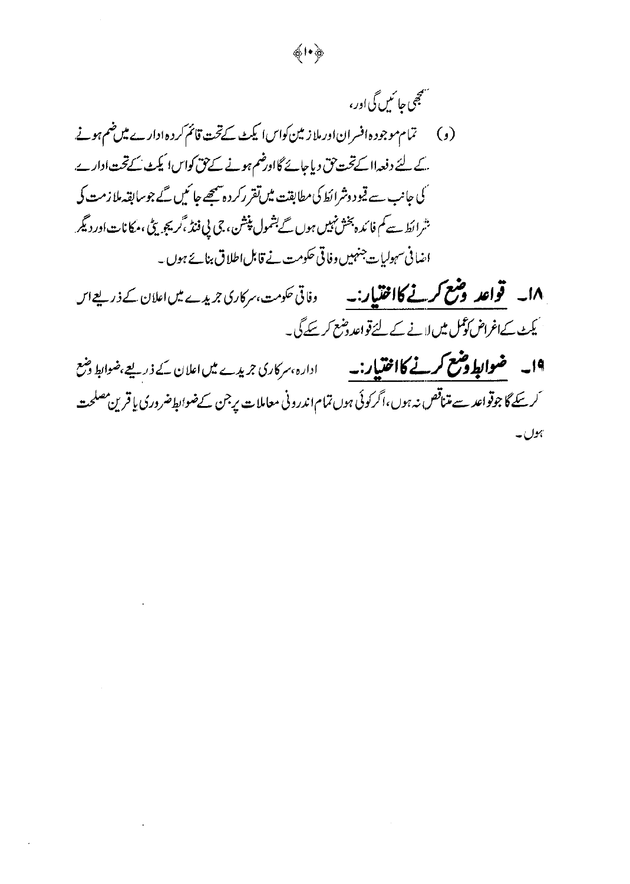## سيمجمي حائمين گي اور، (و) \_\_ تمام موجود ہ افسران اور ملاز مین کواس ایکٹ کےتحت قائم کردہ ادارے میں ضم ہونے کے لئے دفعہ ااکےتحت حق دیاجائے گااورضم ہونے کے حق کواس ایکٹ کےتحت ادارے. گی جانب سے قیود وشرائط کی مطابقت میں تقرر کردہ سمجھے جا کیں گے جوسابقہ ملازمت کی شرائط سے کم فائدہ بخش *نہیں ہوں گے بشم*ول پنیشن، جی پی فنڈ ،گریجو یٹی ،مکانات اور دیگر اضافی سہولیات جنہیں وفاقی حکومت نے قابل اطلاق بنائے ہوں۔

1**۸۔ قواعد وضع کرنے کااختیار:۔** دفاتی حکومت،سرکاری جریدے میں اعلان کے ذریعے اس <u>کیمٹ کےاغراض کوکس میں لانے کے لئے قواعد وضع کر سکے گی۔</u>

 $\phi \mapsto \phi$ 

1۹۔ ضوابط **وشع کرنے کااختیار:۔** ادارہ،سرکاری جریدے میں اعلان کے ذریعے،ضوابط وشع ئىرسكەگا جوقواعد سے متناقص نہ ہوں،اگر كوئى ہوں تمام اندرونى معاملات يرجن كےضوابط ضرورى يا قرين مصلحت ہوں۔